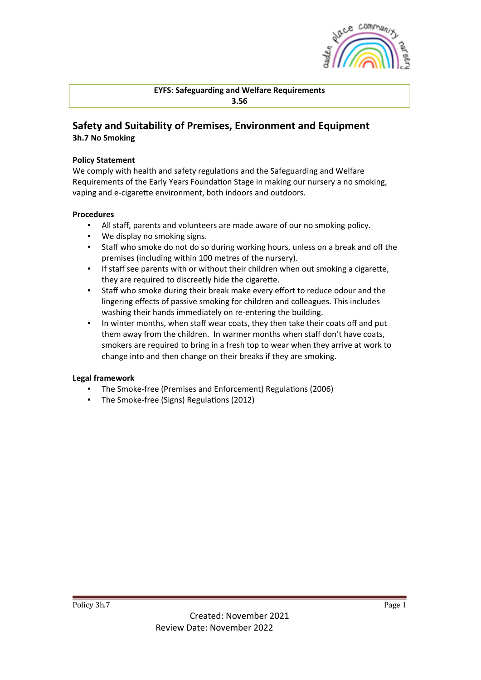

**EYFS: Safeguarding and Welfare Requirements 3.56**

## **Safety and Suitability of Premises, Environment and Equipment 3h.7 No Smoking**

## **Policy Statement**

We comply with health and safety regulations and the Safeguarding and Welfare Requirements of the Early Years Foundation Stage in making our nursery a no smoking, vaping and e-cigarette environment, both indoors and outdoors.

## **Procedures**

- All staff, parents and volunteers are made aware of our no smoking policy.
- We display no smoking signs.
- Staff who smoke do not do so during working hours, unless on a break and off the premises (including within 100 metres of the nursery).
- If staff see parents with or without their children when out smoking a cigarette, they are required to discreetly hide the cigarette.
- Staff who smoke during their break make every effort to reduce odour and the lingering effects of passive smoking for children and colleagues. This includes washing their hands immediately on re-entering the building.
- In winter months, when staff wear coats, they then take their coats off and put them away from the children. In warmer months when staff don't have coats, smokers are required to bring in a fresh top to wear when they arrive at work to change into and then change on their breaks if they are smoking.

## **Legal framework**

- The Smoke-free (Premises and Enforcement) Regulations (2006)
- The Smoke-free (Signs) Regulations (2012)